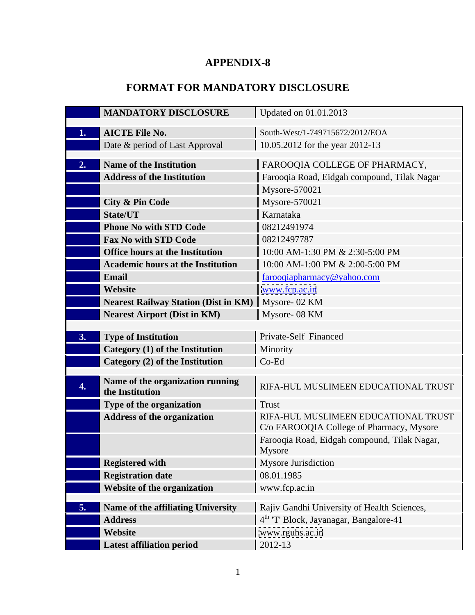## **APPENDIX-8**

## **FORMAT FOR MANDATORY DISCLOSURE**

|                  | <b>MANDATORY DISCLOSURE</b>                                    | Updated on 01.01.2013                                              |
|------------------|----------------------------------------------------------------|--------------------------------------------------------------------|
|                  |                                                                |                                                                    |
|                  | <b>1. AICTE File No.</b><br>Date & period of Last Approval     | South-West/1-749715672/2012/EOA<br>10.05.2012 for the year 2012-13 |
|                  |                                                                |                                                                    |
|                  | 2. Name of the Institution                                     | FAROOQIA COLLEGE OF PHARMACY,                                      |
|                  | <b>Address of the Institution</b>                              | Farooqia Road, Eidgah compound, Tilak Nagar                        |
|                  |                                                                | $Mysore-570021$                                                    |
|                  | City & Pin Code                                                | Mysore-570021                                                      |
|                  | State/UT                                                       | Karnataka                                                          |
|                  | <b>Phone No with STD Code</b>                                  | 08212491974                                                        |
|                  | <b>Fax No with STD Code</b>                                    | 08212497787                                                        |
|                  | <b>Office hours at the Institution</b>                         | 10:00 AM-1:30 PM & 2:30-5:00 PM                                    |
|                  | <b>Academic hours at the Institution</b>                       | 10:00 AM-1:00 PM & 2:00-5:00 PM                                    |
|                  | Email                                                          | farooqiapharmacy@yahoo.com                                         |
|                  | <b>Website</b>                                                 | www.fcp.ac.in                                                      |
|                  | Nearest Railway Station (Dist in KM)   Mysore- 02 KM           |                                                                    |
|                  | Nearest Airport (Dist in KM)                                   | Mysore- 08 KM                                                      |
|                  | <b>3.</b> Type of Institution                                  | <b>Private-Self Financed</b>                                       |
|                  | Category (1) of the Institution                                | Minority                                                           |
|                  | $\blacksquare$ Category (2) of the Institution                 | $\bigcup$ Co-Ed                                                    |
|                  |                                                                |                                                                    |
| $\overline{4}$ . | Name of the organization running                               | RIFA-HUL MUSLIMEEN EDUCATIONAL TRUST                               |
|                  | the Institution                                                | Trust                                                              |
|                  | Type of the organization<br><b>Address of the organization</b> | RIFA-HUL MUSLIMEEN EDUCATIONAL TRUST                               |
|                  |                                                                | C/o FAROOQIA College of Pharmacy, Mysore                           |
|                  |                                                                | Farooqia Road, Eidgah compound, Tilak Nagar,                       |
|                  |                                                                | Mysore                                                             |
|                  | Registered with                                                | Mysore Jurisdiction                                                |
|                  | Registration date                                              | 08.01.1985                                                         |
|                  | <b>Website of the organization</b>                             | www.fcp.ac.in                                                      |
|                  |                                                                | Rajiv Gandhi University of Health Sciences,                        |
|                  | 5. Name of the affiliating University<br><b>Address</b>        | $\int 4^{th}$ 'T' Block, Jayanagar, Bangalore-41                   |
|                  | <b>Website</b>                                                 | www.rguhs.ac.in                                                    |
|                  | Latest affiliation period                                      | $\vert$ 2012-13                                                    |
|                  |                                                                |                                                                    |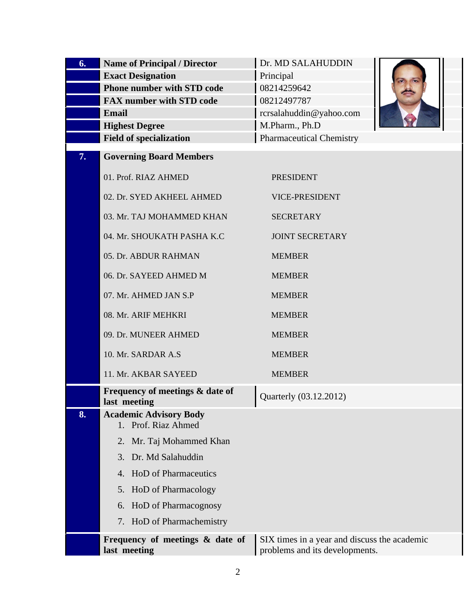| <b>6.</b> Name of Principal / Director                                                                          | Dr. MD SALAHUDDIN                         |                        |
|-----------------------------------------------------------------------------------------------------------------|-------------------------------------------|------------------------|
| <b>Exact Designation</b><br>Phone number with STD code                                                          | Principal<br>08214259642                  | $\sim$<br><b>Allen</b> |
| <b>FAX number with STD code</b>                                                                                 | 08212497787                               |                        |
| Email<br><b>Highest Degree</b>                                                                                  | rcrsalahuddin@yahoo.com<br>M.Pharm., Ph.D |                        |
| <b>Field of specialization</b>                                                                                  | Pharmaceutical Chemistry                  |                        |
| <b>7.</b> Governing Board Members                                                                               |                                           |                        |
| 01. Prof. RIAZ AHMED                                                                                            | PRESIDENT                                 |                        |
| 02. Dr. SYED AKHEEL AHMED                                                                                       | VICE-PRESIDENT                            |                        |
| 03. Mr. TAJ MOHAMMED KHAN                                                                                       | SECRETARY                                 |                        |
| 04. Mr. SHOUKATH PASHA K.C                                                                                      | JOINT SECRETARY                           |                        |
| 05. Dr. ABDUR RAHMAN                                                                                            | MEMBER                                    |                        |
| 06. Dr. SAYEED AHMED M                                                                                          | <b>MEMBER</b>                             |                        |
| 07. Mr. AHMED JAN S.P                                                                                           | <b>MEMBER</b>                             |                        |
| 08. Mr. ARIF MEHKRI                                                                                             | <b>MEMBER</b>                             |                        |
| 09. Dr. MUNEER AHMED                                                                                            | <b>MEMBER</b>                             |                        |
| 10. Mr. SARDAR A.S                                                                                              | <b>MEMBER</b>                             |                        |
| 11. Mr. AKBAR SAYEED                                                                                            | <b>MEMBER</b>                             |                        |
| Frequency of meetings & date of                                                                                 | Quarterly (03.12.2012)                    |                        |
| last meeting<br>8. Academic Advisory Body                                                                       |                                           |                        |
| 1. Prof. Riaz Ahmed                                                                                             |                                           |                        |
| 2. Mr. Taj Mohammed Khan                                                                                        |                                           |                        |
| 3. Dr. Md Salahuddin<br>4. HoD of Pharmaceutics                                                                 |                                           |                        |
| 5. HoD of Pharmacology                                                                                          |                                           |                        |
| 6. HoD of Pharmacognosy                                                                                         |                                           |                        |
| 7. HoD of Pharmachemistry                                                                                       |                                           |                        |
| <b>Frequency of meetings &amp; date of</b> $\left  \text{SIX times in a year and discuss the academic} \right $ |                                           |                        |
| last meeting                                                                                                    | problems and its developments.            |                        |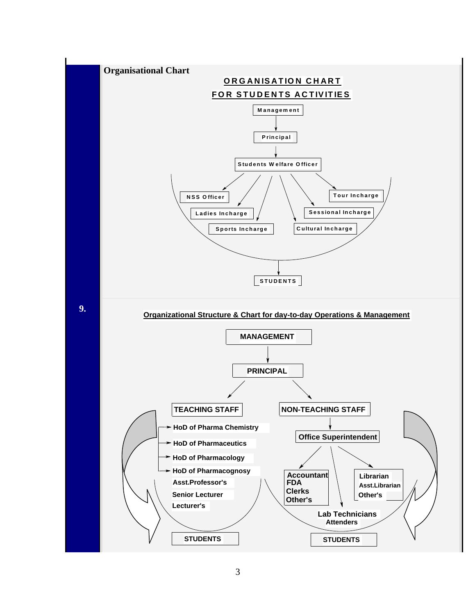

3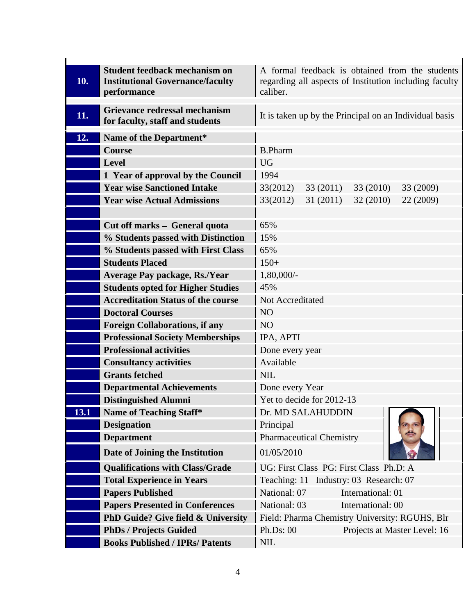|                                           | A formal feedback is obtained from the students                                                                                                                                                                                                                                                                                                                                                                                                                                                                                                                                                                                                                                                 |
|-------------------------------------------|-------------------------------------------------------------------------------------------------------------------------------------------------------------------------------------------------------------------------------------------------------------------------------------------------------------------------------------------------------------------------------------------------------------------------------------------------------------------------------------------------------------------------------------------------------------------------------------------------------------------------------------------------------------------------------------------------|
|                                           | regarding all aspects of Institution including faculty                                                                                                                                                                                                                                                                                                                                                                                                                                                                                                                                                                                                                                          |
|                                           | caliber.                                                                                                                                                                                                                                                                                                                                                                                                                                                                                                                                                                                                                                                                                        |
| <b>Grievance redressal mechanism</b>      |                                                                                                                                                                                                                                                                                                                                                                                                                                                                                                                                                                                                                                                                                                 |
| for faculty, staff and students           | It is taken up by the Principal on an Individual basis                                                                                                                                                                                                                                                                                                                                                                                                                                                                                                                                                                                                                                          |
|                                           |                                                                                                                                                                                                                                                                                                                                                                                                                                                                                                                                                                                                                                                                                                 |
|                                           | B.Pharm                                                                                                                                                                                                                                                                                                                                                                                                                                                                                                                                                                                                                                                                                         |
|                                           | UG                                                                                                                                                                                                                                                                                                                                                                                                                                                                                                                                                                                                                                                                                              |
|                                           | $\vert$ 1994                                                                                                                                                                                                                                                                                                                                                                                                                                                                                                                                                                                                                                                                                    |
|                                           |                                                                                                                                                                                                                                                                                                                                                                                                                                                                                                                                                                                                                                                                                                 |
|                                           | $33(2012)$ 33 (2011)<br>33 (2010) 33 (2009)                                                                                                                                                                                                                                                                                                                                                                                                                                                                                                                                                                                                                                                     |
|                                           | $33(2012)$ 31 (2011) 32 (2010) 22 (2009)                                                                                                                                                                                                                                                                                                                                                                                                                                                                                                                                                                                                                                                        |
|                                           |                                                                                                                                                                                                                                                                                                                                                                                                                                                                                                                                                                                                                                                                                                 |
|                                           | 65%                                                                                                                                                                                                                                                                                                                                                                                                                                                                                                                                                                                                                                                                                             |
|                                           |                                                                                                                                                                                                                                                                                                                                                                                                                                                                                                                                                                                                                                                                                                 |
|                                           |                                                                                                                                                                                                                                                                                                                                                                                                                                                                                                                                                                                                                                                                                                 |
| <b>Students Placed</b>                    | $\vert$ 150+                                                                                                                                                                                                                                                                                                                                                                                                                                                                                                                                                                                                                                                                                    |
| Average Pay package, Rs./Year             | $1,80,000/-$                                                                                                                                                                                                                                                                                                                                                                                                                                                                                                                                                                                                                                                                                    |
| <b>Students opted for Higher Studies</b>  | 145%                                                                                                                                                                                                                                                                                                                                                                                                                                                                                                                                                                                                                                                                                            |
| <b>Accreditation Status of the course</b> | Not Accreditated                                                                                                                                                                                                                                                                                                                                                                                                                                                                                                                                                                                                                                                                                |
| <b>Doctoral Courses</b>                   | $\overline{N}$                                                                                                                                                                                                                                                                                                                                                                                                                                                                                                                                                                                                                                                                                  |
|                                           | $\overline{N}$                                                                                                                                                                                                                                                                                                                                                                                                                                                                                                                                                                                                                                                                                  |
|                                           | IPA, APTI                                                                                                                                                                                                                                                                                                                                                                                                                                                                                                                                                                                                                                                                                       |
| <b>Professional activities</b>            | Done every year                                                                                                                                                                                                                                                                                                                                                                                                                                                                                                                                                                                                                                                                                 |
|                                           | Available                                                                                                                                                                                                                                                                                                                                                                                                                                                                                                                                                                                                                                                                                       |
| <b>Grants fetched</b>                     | $\vert$ NIL                                                                                                                                                                                                                                                                                                                                                                                                                                                                                                                                                                                                                                                                                     |
|                                           | Done every Year                                                                                                                                                                                                                                                                                                                                                                                                                                                                                                                                                                                                                                                                                 |
|                                           | Yet to decide for 2012-13                                                                                                                                                                                                                                                                                                                                                                                                                                                                                                                                                                                                                                                                       |
|                                           | Dr. MD SALAHUDDIN                                                                                                                                                                                                                                                                                                                                                                                                                                                                                                                                                                                                                                                                               |
|                                           | B<br>Principal                                                                                                                                                                                                                                                                                                                                                                                                                                                                                                                                                                                                                                                                                  |
|                                           | <b>Pharmaceutical Chemistry</b>                                                                                                                                                                                                                                                                                                                                                                                                                                                                                                                                                                                                                                                                 |
|                                           |                                                                                                                                                                                                                                                                                                                                                                                                                                                                                                                                                                                                                                                                                                 |
|                                           | 01/05/2010                                                                                                                                                                                                                                                                                                                                                                                                                                                                                                                                                                                                                                                                                      |
| <b>Qualifications with Class/Grade</b>    | UG: First Class PG: First Class Ph.D: A                                                                                                                                                                                                                                                                                                                                                                                                                                                                                                                                                                                                                                                         |
| <b>Total Experience in Years</b>          | Teaching: 11 Industry: 03 Research: 07                                                                                                                                                                                                                                                                                                                                                                                                                                                                                                                                                                                                                                                          |
| <b>Papers Published</b>                   | National: 07<br>International: 01                                                                                                                                                                                                                                                                                                                                                                                                                                                                                                                                                                                                                                                               |
| <b>Papers Presented in Conferences</b>    | National: 03<br>International: 00                                                                                                                                                                                                                                                                                                                                                                                                                                                                                                                                                                                                                                                               |
|                                           | <b>PhD Guide? Give field &amp; University</b> Field: Pharma Chemistry University: RGUHS, Blr                                                                                                                                                                                                                                                                                                                                                                                                                                                                                                                                                                                                    |
|                                           |                                                                                                                                                                                                                                                                                                                                                                                                                                                                                                                                                                                                                                                                                                 |
| <b>PhDs / Projects Guided</b>             | Ph.Ds: 00<br>Projects at Master Level: 16                                                                                                                                                                                                                                                                                                                                                                                                                                                                                                                                                                                                                                                       |
|                                           | Student feedback mechanism on<br><b>10.</b> Institutional Governance/faculty<br>performance<br>12. Name of the Department*<br>Course<br>Level<br>1 Year of approval by the Council<br><b>Year wise Sanctioned Intake</b><br><b>Year wise Actual Admissions</b><br>Cut off marks - General quota<br>$%$ Students passed with Distinction   15%<br>% Students passed with First Class   65%<br><b>Foreign Collaborations, if any</b><br><b>Professional Society Memberships</b><br><b>Consultancy activities</b><br><b>Departmental Achievements</b><br><b>Distinguished Alumni</b><br><b>13.1</b> Name of Teaching Staff*<br><b>Designation</b><br>Department<br>Date of Joining the Institution |

ŕ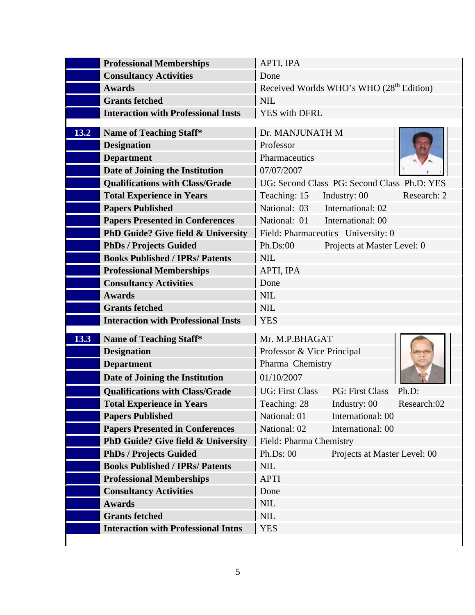| <b>Professional Memberships</b>                                       | APTI, IPA                                            |
|-----------------------------------------------------------------------|------------------------------------------------------|
| <b>Consultancy Activities</b>                                         | Done                                                 |
| <b>Awards</b>                                                         | Received Worlds WHO's WHO (28 <sup>th</sup> Edition) |
| <b>Grants fetched</b>                                                 | $\vert$ NIL                                          |
| Interaction with Professional Insts                                   | YES with DFRL                                        |
| <b>13.2</b> Name of Teaching Staff*                                   | Dr. MANJUNATH M                                      |
| <b>Designation</b>                                                    | Professor                                            |
| Department                                                            | Pharmaceutics                                        |
| Date of Joining the Institution                                       | 07/07/2007                                           |
| Qualifications with Class/Grade                                       | UG: Second Class PG: Second Class Ph.D: YES          |
| Total Experience in Years                                             | Teaching: 15 Industry: 00<br>Research: 2             |
| Papers Published                                                      | National: 03 International: 02                       |
| <b>Papers Presented in Conferences</b>                                | National: 01 International: 00                       |
| PhD Guide? Give field & University                                    | Field: Pharmaceutics University: 0                   |
| PhDs / Projects Guided                                                | Ph.Ds:00<br>Projects at Master Level: 0              |
| <b>Books Published / IPRs/ Patents</b>                                | $\vert$ NIL                                          |
| <b>Professional Memberships</b>                                       | APTI, IPA                                            |
| <b>Consultancy Activities</b>                                         | Done                                                 |
| <b>Awards</b>                                                         | $\vert$ NIL                                          |
| <b>Grants fetched</b>                                                 | NIL                                                  |
| Interaction with Professional Insts                                   | YES                                                  |
| <b>13.3</b> Name of Teaching Staff*                                   | Mr. M.P.BHAGAT                                       |
| <b>Designation</b>                                                    | Professor & Vice Principal                           |
| Department                                                            | Pharma Chemistry                                     |
| Date of Joining the Institution                                       | 01/10/2007                                           |
| <b>Qualifications with Class/Grade</b>                                | UG: First Class<br>PG: First Class Ph.D:             |
| Total Experience in Years                                             | Teaching: 28 Industry: 00 Research: 02               |
| Papers Published                                                      | National: 01<br>International: 00                    |
| <b>Papers Presented in Conferences</b>                                | International: 00<br>National: 02                    |
| <b>PhD Guide? Give field &amp; University</b> Field: Pharma Chemistry |                                                      |
| PhDs / Projects Guided                                                | Ph.Ds: 00<br>Projects at Master Level: 00            |
| <b>Books Published / IPRs/ Patents</b>                                | $\vert$ NIL                                          |
| <b>Professional Memberships</b>                                       | APTI                                                 |
| <b>Consultancy Activities</b>                                         | Done                                                 |
| <b>Awards</b>                                                         | $\vert$ NIL                                          |
| Grants fetched                                                        | $\vert$ NIL                                          |
| <b>Interaction with Professional Intns</b>   YES                      |                                                      |
|                                                                       |                                                      |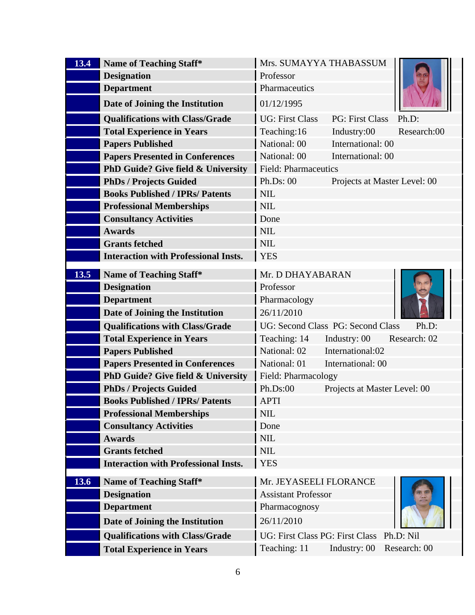| <b>13.4</b> Name of Teaching Staff*                                | Mrs. SUMAYYA THABASSUM                    |                              |
|--------------------------------------------------------------------|-------------------------------------------|------------------------------|
| <b>Designation</b>                                                 | Professor                                 |                              |
| Department                                                         | Pharmaceutics                             |                              |
| Date of Joining the Institution                                    | 01/12/1995                                |                              |
| <b>Qualifications with Class/Grade</b>                             | UG: First Class                           | PG: First Class Ph.D:        |
|                                                                    |                                           |                              |
| <b>Total Experience in Years</b>                                   | Teaching:16                               | Industry:00<br>Research:00   |
| <b>Papers Published</b>                                            | National: 00                              | International: 00            |
| <b>Papers Presented in Conferences</b>                             | National: 00                              | International: 00            |
| <b>PhD Guide? Give field &amp; University Field: Pharmaceutics</b> |                                           |                              |
| <b>PhDs / Projects Guided</b>                                      | Ph.Ds: 00                                 | Projects at Master Level: 00 |
| <b>Books Published / IPRs/ Patents</b>                             | $\vert$ NIL                               |                              |
| <b>Professional Memberships</b>                                    | NIL                                       |                              |
| <b>Consultancy Activities</b>                                      | Done                                      |                              |
| <b>Awards</b>                                                      | NIL                                       |                              |
| <b>Grants fetched</b>                                              | $\overline{\phantom{a}}$ NIL              |                              |
| Interaction with Professional Insts.   YES                         |                                           |                              |
| <b>13.5</b> Name of Teaching Staff*                                | Mr. D DHAYABARAN                          |                              |
|                                                                    | Professor                                 | B                            |
| <b>Designation</b>                                                 |                                           |                              |
| Department                                                         | Pharmacology                              |                              |
| Date of Joining the Institution                                    | 26/11/2010                                |                              |
| <b>Qualifications with Class/Grade</b>                             | UG: Second Class PG: Second Class Ph.D:   |                              |
| <b>Total Experience in Years</b>                                   | Teaching: 14                              | Industry: 00 Research: 02    |
| <b>Papers Published</b>                                            | National: 02                              | International:02             |
| <b>Papers Presented in Conferences</b>                             | National: 01                              | International: 00            |
| <b>PhD Guide? Give field &amp; University Field: Pharmacology</b>  |                                           |                              |
| <b>PhDs / Projects Guided</b>                                      | Ph.Ds:00                                  | Projects at Master Level: 00 |
| <b>Books Published / IPRs/ Patents</b>                             | APTI                                      |                              |
| <b>Professional Memberships</b>                                    | $\vert$ NIL                               |                              |
| <b>Consultancy Activities</b>                                      | Done                                      |                              |
| <b>Awards</b>                                                      | NIL                                       |                              |
| <b>Grants fetched</b>                                              | $\vert$ NIL                               |                              |
| Interaction with Professional Insts.   YES                         |                                           |                              |
|                                                                    |                                           |                              |
| <b>13.6</b> Name of Teaching Staff*                                | Mr. JEYASEELI FLORANCE                    |                              |
| <b>Designation</b>                                                 | Assistant Professor                       |                              |
| Department                                                         | Pharmacognosy                             |                              |
| Date of Joining the Institution                                    | 26/11/2010                                |                              |
| <b>Qualifications with Class/Grade</b>                             | UG: First Class PG: First Class Ph.D: Nil |                              |
|                                                                    | Teaching: 11                              | Industry: 00 Research: 00    |
| <b>Total Experience in Years</b>                                   |                                           |                              |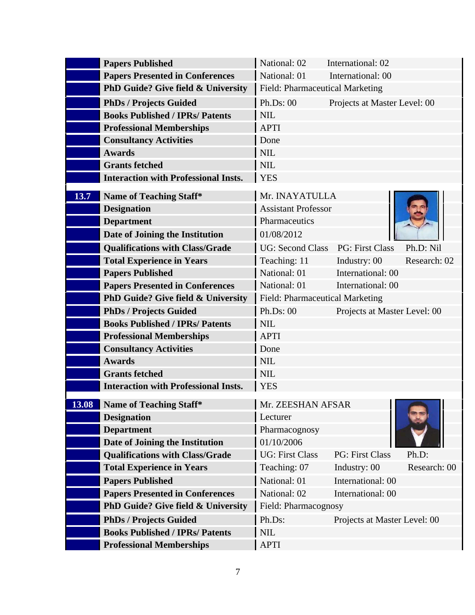| <b>Papers Published</b>                                                       | National: 02                 | International: 02                          |              |
|-------------------------------------------------------------------------------|------------------------------|--------------------------------------------|--------------|
| <b>Papers Presented in Conferences</b>                                        | National: 01                 | International: 00                          |              |
| <b>PhD Guide? Give field &amp; University</b> Field: Pharmaceutical Marketing |                              |                                            |              |
| <b>PhDs / Projects Guided</b>                                                 | Ph.Ds: 00                    | Projects at Master Level: 00               |              |
| <b>Books Published / IPRs/ Patents</b>                                        | $\overline{\phantom{a}}$ NIL |                                            |              |
| <b>Professional Memberships</b>                                               | APTI                         |                                            |              |
| <b>Consultancy Activities</b>                                                 | Done                         |                                            |              |
| Awards                                                                        | $\vert$ NIL                  |                                            |              |
| <b>Grants fetched</b>                                                         | $\vert$ NIL                  |                                            |              |
| <b>Interaction with Professional Insts.</b>                                   | YES                          |                                            |              |
| 13.7 Name of Teaching Staff*                                                  | Mr. INAYATULLA               |                                            |              |
| <b>Designation</b>                                                            | <b>Assistant Professor</b>   |                                            |              |
|                                                                               | <b>Pharmaceutics</b>         |                                            |              |
| Department                                                                    |                              |                                            |              |
| Date of Joining the Institution                                               | 01/08/2012                   |                                            |              |
| <b>Qualifications with Class/Grade</b>                                        |                              | UG: Second Class PG: First Class Ph.D: Nil |              |
| <b>Total Experience in Years</b>                                              | Teaching: 11                 | Industry: 00                               | Research: 02 |
| <b>Papers Published</b>                                                       | National: 01                 | International: 00                          |              |
| <b>Papers Presented in Conferences</b>                                        | National: 01                 | International: 00                          |              |
| <b>PhD Guide? Give field &amp; University</b> Field: Pharmaceutical Marketing |                              |                                            |              |
| <b>PhDs / Projects Guided</b>                                                 | Ph.Ds: 00                    | Projects at Master Level: 00               |              |
| <b>Books Published / IPRs/ Patents</b>                                        | $\vert$ NIL                  |                                            |              |
| <b>Professional Memberships</b>                                               | APTI                         |                                            |              |
| <b>Consultancy Activities</b>                                                 | $\vert$ Done                 |                                            |              |
| <b>Awards</b>                                                                 | $\vert$ NIL                  |                                            |              |
| <b>Grants fetched</b>                                                         | <b>NIL</b>                   |                                            |              |
| Interaction with Professional Insts.   YES                                    |                              |                                            |              |
| <b>13.08</b> Name of Teaching Staff*                                          | Mr. ZEESHAN AFSAR            |                                            |              |
| Designation                                                                   | Lecturer                     |                                            |              |
| <b>Department</b>                                                             | Pharmacognosy                |                                            |              |
| Date of Joining the Institution                                               | 01/10/2006                   |                                            |              |
| <b>Qualifications with Class/Grade</b>                                        | UG: First Class              | PG: First Class                            | Ph.D:        |
| <b>Total Experience in Years</b>                                              | Teaching: 07                 | Industry: 00                               | Research: 00 |
| <b>Papers Published</b>                                                       | National: 01                 | International: 00                          |              |
| <b>Papers Presented in Conferences</b>                                        | National: 02                 | International: 00                          |              |
| <b>PhD Guide? Give field &amp; University</b> Field: Pharmacognosy            |                              |                                            |              |
| <b>PhDs / Projects Guided</b>                                                 | Ph.Ds:                       | Projects at Master Level: 00               |              |
| <b>Books Published / IPRs/ Patents</b>                                        | $\vert$ NIL                  |                                            |              |
| <b>Professional Memberships</b>                                               | APTI                         |                                            |              |
|                                                                               |                              |                                            |              |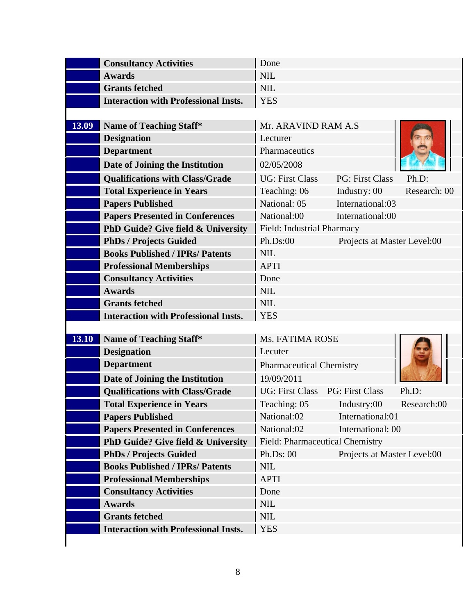|                                                                               |                                 |                                       | Ph.D:<br>Teaching: 05 Industry:00 Research:00<br>Projects at Master Level:00 |  |
|-------------------------------------------------------------------------------|---------------------------------|---------------------------------------|------------------------------------------------------------------------------|--|
| <b>Consultancy Activities</b>                                                 | Done                            |                                       |                                                                              |  |
| Awards                                                                        | $\vert$ NIL                     |                                       |                                                                              |  |
| <b>Grants fetched</b>                                                         | <b>NIL</b>                      |                                       |                                                                              |  |
| <b>Interaction with Professional Insts.</b>                                   | <b>YES</b>                      |                                       |                                                                              |  |
|                                                                               |                                 |                                       |                                                                              |  |
| <b>13.09</b> Name of Teaching Staff*                                          | Mr. ARAVIND RAM A.S             |                                       |                                                                              |  |
| <b>Designation</b>                                                            | Lecturer                        |                                       |                                                                              |  |
| <b>Department</b>                                                             | <b>Pharmaceutics</b>            |                                       |                                                                              |  |
| Date of Joining the Institution                                               | 02/05/2008                      |                                       |                                                                              |  |
| <b>Qualifications with Class/Grade</b>                                        | UG: First Class                 | PG: First Class                       |                                                                              |  |
| <b>Total Experience in Years</b>                                              | Teaching: 06                    | Industry: 00                          | Research: 00                                                                 |  |
| <b>Papers Published</b>                                                       | National: 05                    | International:03                      |                                                                              |  |
| <b>Papers Presented in Conferences</b>                                        | National:00                     | International:00                      |                                                                              |  |
| <b>PhD Guide? Give field &amp; University</b> Field: Industrial Pharmacy      |                                 |                                       |                                                                              |  |
| <b>PhDs / Projects Guided</b>                                                 | Ph.Ds:00                        | Projects at Master Level:00           |                                                                              |  |
| <b>Books Published / IPRs/ Patents</b>                                        | $\vert$ NIL                     |                                       |                                                                              |  |
| <b>Professional Memberships</b>                                               | APTI                            |                                       |                                                                              |  |
| <b>Consultancy Activities</b>                                                 | Done                            |                                       |                                                                              |  |
| Awards                                                                        | <b>NIL</b>                      |                                       |                                                                              |  |
| <b>Grants fetched</b>                                                         | $\vert$ NIL                     |                                       |                                                                              |  |
| <b>Interaction with Professional Insts.</b>                                   | YES                             |                                       |                                                                              |  |
|                                                                               |                                 |                                       |                                                                              |  |
| <b>13.10</b> Name of Teaching Staff*                                          | Ms. FATIMA ROSE                 |                                       |                                                                              |  |
| <b>Designation</b>                                                            | Lecuter                         |                                       |                                                                              |  |
| <b>Department</b>                                                             | <b>Pharmaceutical Chemistry</b> |                                       |                                                                              |  |
| Date of Joining the Institution                                               | 19/09/2011                      |                                       |                                                                              |  |
| <b>Qualifications with Class/Grade</b>                                        |                                 | UG: First Class PG: First Class Ph.D: |                                                                              |  |
| <b>Total Experience in Years</b>                                              |                                 |                                       |                                                                              |  |
| <b>Papers Published</b>                                                       | National:02                     | International:01                      |                                                                              |  |
| <b>Papers Presented in Conferences</b>                                        | National:02                     | International: 00                     |                                                                              |  |
| <b>PhD Guide? Give field &amp; University</b> Field: Pharmaceutical Chemistry |                                 |                                       |                                                                              |  |
| <b>PhDs / Projects Guided</b>                                                 | Ph.Ds: 00                       |                                       |                                                                              |  |
| <b>Books Published / IPRs/ Patents</b>                                        | $\vert$ NIL                     |                                       |                                                                              |  |
| <b>Professional Memberships</b>                                               | APTI                            |                                       |                                                                              |  |
| <b>Consultancy Activities</b>                                                 | Done                            |                                       |                                                                              |  |
| <b>Awards</b>                                                                 | $\vert$ NIL                     |                                       |                                                                              |  |
| <b>Grants fetched</b>                                                         | $\vert$ NIL                     |                                       |                                                                              |  |
| <b>Interaction with Professional Insts.</b>                                   | YES                             |                                       |                                                                              |  |
|                                                                               |                                 |                                       |                                                                              |  |
|                                                                               |                                 |                                       |                                                                              |  |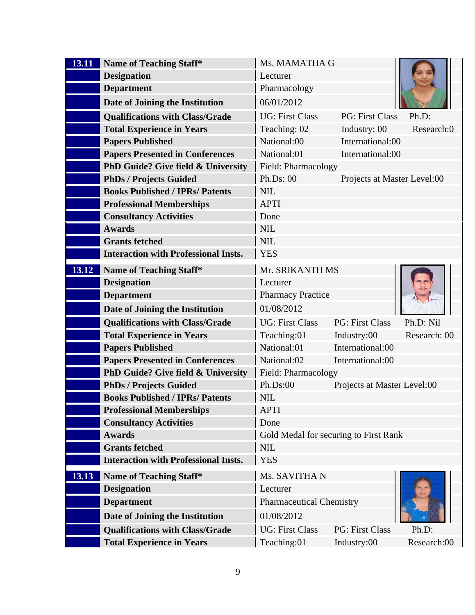| <b>13.11</b> Name of Teaching Staff*                              | Ms. MAMATHA G            |                                       |                             |
|-------------------------------------------------------------------|--------------------------|---------------------------------------|-----------------------------|
| <b>Designation</b>                                                | Lecturer                 |                                       |                             |
| <b>Department</b>                                                 | Pharmacology             |                                       |                             |
| Date of Joining the Institution                                   | 06/01/2012               |                                       |                             |
| <b>Qualifications with Class/Grade</b>                            | UG: First Class          | PG: First Class Ph.D:                 |                             |
| <b>Total Experience in Years</b>                                  | Teaching: 02             | Industry: 00                          | Research:0                  |
| <b>Papers Published</b>                                           | National:00              | International:00                      |                             |
| <b>Papers Presented in Conferences</b>                            | National:01              | International:00                      |                             |
| <b>PhD Guide? Give field &amp; University</b>                     | Field: Pharmacology      |                                       |                             |
| <b>PhDs / Projects Guided</b>                                     | Ph.Ds: 00                | Projects at Master Level:00           |                             |
| <b>Books Published / IPRs/ Patents</b>                            | $\vert$ NIL              |                                       |                             |
| <b>Professional Memberships</b>                                   | APTI                     |                                       |                             |
| <b>Consultancy Activities</b>                                     | Done                     |                                       |                             |
| Awards                                                            | $\vert$ NIL              |                                       |                             |
| <b>Grants fetched</b>                                             | NIL                      |                                       |                             |
| Interaction with Professional Insts.   YES                        |                          |                                       |                             |
|                                                                   |                          |                                       |                             |
| <b>13.12</b> Name of Teaching Staff*                              | Mr. SRIKANTH MS          |                                       | <b>Card</b>                 |
| <b>Designation</b>                                                | Lecturer                 |                                       |                             |
| <b>Department</b>                                                 | <b>Pharmacy Practice</b> |                                       | $\left  \mathbf{A} \right $ |
| Date of Joining the Institution                                   | 01/08/2012               |                                       |                             |
| <b>Qualifications with Class/Grade</b>                            | UG: First Class          | PG: First Class                       | Ph.D: Nil                   |
| <b>Total Experience in Years</b>                                  | Teaching:01              | Industry:00                           | Research: 00                |
| <b>Papers Published</b>                                           | National:01              | International:00                      |                             |
| <b>Papers Presented in Conferences</b>                            | National:02              | International:00                      |                             |
| <b>PhD Guide? Give field &amp; University Field: Pharmacology</b> |                          |                                       |                             |
| <b>PhDs / Projects Guided</b>                                     | Ph.Ds:00                 | Projects at Master Level:00           |                             |
| <b>Books Published / IPRs/ Patents</b>                            | $\vert$ NIL              |                                       |                             |
| <b>Professional Memberships</b>                                   | APTI                     |                                       |                             |
| <b>Consultancy Activities</b>                                     | Done                     |                                       |                             |
| <b>Awards</b>                                                     |                          | Gold Medal for securing to First Rank |                             |
| <b>Grants fetched</b>                                             | $\vert$ NIL              |                                       |                             |
| <b>Interaction with Professional Insts.</b>                       | <b>YES</b>               |                                       |                             |
|                                                                   |                          |                                       |                             |
| <b>13.13</b> Name of Teaching Staff*                              | Ms. SAVITHA N            |                                       |                             |
| <b>Designation</b>                                                | Lecturer                 |                                       |                             |
| <b>Department</b>                                                 | Pharmaceutical Chemistry |                                       |                             |
| Date of Joining the Institution                                   | 01/08/2012               |                                       |                             |
| <b>Qualifications with Class/Grade</b>                            | UG: First Class          | PG: First Class                       | Ph.D:                       |
| <b>Total Experience in Years</b>                                  | Teaching:01              | Industry:00                           | Research:00                 |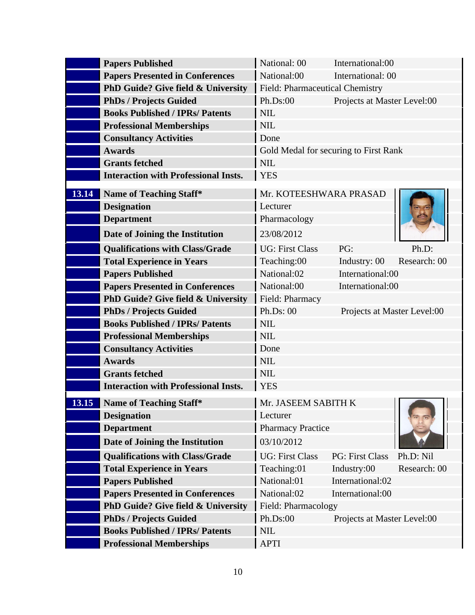| <b>Papers Published</b>                                                       | National: 00                          | International:00            |               |
|-------------------------------------------------------------------------------|---------------------------------------|-----------------------------|---------------|
| <b>Papers Presented in Conferences</b>                                        | National:00                           | International: 00           |               |
| <b>PhD Guide? Give field &amp; University</b> Field: Pharmaceutical Chemistry |                                       |                             |               |
| <b>PhDs / Projects Guided</b>                                                 | Ph.Ds:00                              | Projects at Master Level:00 |               |
| <b>Books Published / IPRs/ Patents</b>                                        | $\vert$ NIL                           |                             |               |
| <b>Professional Memberships</b>                                               | $\vert$ NIL                           |                             |               |
| <b>Consultancy Activities</b>                                                 | Done                                  |                             |               |
| <b>Awards</b>                                                                 | Gold Medal for securing to First Rank |                             |               |
| <b>Grants fetched</b>                                                         | $\vert$ NIL                           |                             |               |
| <b>Interaction with Professional Insts.</b>                                   | YES                                   |                             |               |
| <b>13.14</b> Name of Teaching Staff*                                          | Mr. KOTEESHWARA PRASAD                |                             |               |
| <b>Designation</b>                                                            | Lecturer                              |                             |               |
| <b>Department</b>                                                             | Pharmacology                          |                             |               |
|                                                                               |                                       |                             |               |
| Date of Joining the Institution                                               | 23/08/2012                            |                             |               |
| <b>Qualifications with Class/Grade</b>                                        | UG: First Class                       | PG:                         | Ph.D:         |
| <b>Total Experience in Years</b>                                              | Teaching:00                           | Industry: 00 Research: 00   |               |
| <b>Papers Published</b>                                                       | National:02                           | International:00            |               |
| <b>Papers Presented in Conferences</b>                                        | National:00                           | International:00            |               |
| PhD Guide? Give field & University                                            | Field: Pharmacy                       |                             |               |
| <b>PhDs / Projects Guided</b>                                                 | Ph.Ds: 00                             | Projects at Master Level:00 |               |
| <b>Books Published / IPRs/ Patents</b>                                        | $\vert$ NIL                           |                             |               |
| <b>Professional Memberships</b>                                               | $\vert$ NIL                           |                             |               |
| <b>Consultancy Activities</b>                                                 | Done                                  |                             |               |
| <b>Awards</b>                                                                 | $\vert$ NIL                           |                             |               |
| <b>Grants fetched</b>                                                         | $\vert$ NIL                           |                             |               |
| <b>Interaction with Professional Insts.</b>                                   | YES                                   |                             |               |
| <b>13.15</b> Name of Teaching Staff*                                          | Mr. JASEEM SABITH K                   |                             |               |
| <b>Designation</b>                                                            | Lecturer                              |                             | $\sqrt{2\pi}$ |
| <b>Department</b>                                                             | <b>Pharmacy Practice</b>              |                             |               |
| Date of Joining the Institution                                               | 03/10/2012                            |                             |               |
| <b>Qualifications with Class/Grade</b>                                        | UG: First Class                       | PG: First Class Ph.D: Nil   |               |
| <b>Total Experience in Years</b>                                              | Teaching:01                           | Industry:00                 | Research: 00  |
| <b>Papers Published</b>                                                       | National:01                           | International:02            |               |
| <b>Papers Presented in Conferences</b>                                        | National:02                           | International:00            |               |
| <b>PhD Guide? Give field &amp; University Field: Pharmacology</b>             |                                       |                             |               |
| <b>PhDs / Projects Guided</b>                                                 | Ph.Ds:00                              | Projects at Master Level:00 |               |
| <b>Books Published / IPRs/ Patents</b>                                        | $\vert$ NIL                           |                             |               |
| <b>Professional Memberships</b>                                               | APTI                                  |                             |               |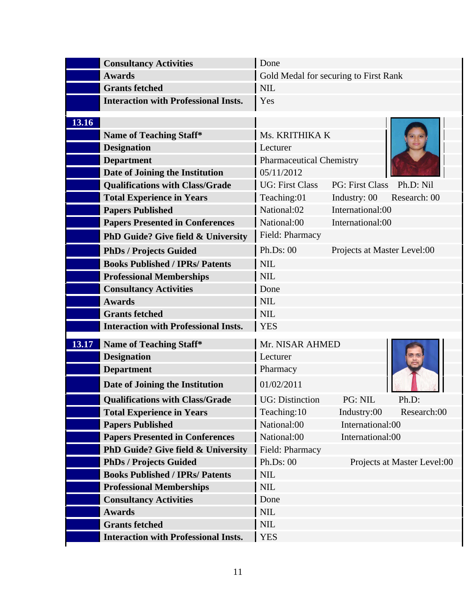|       | <b>Consultancy Activities</b>                                 | $\vert$ Done                          |                             |                             |
|-------|---------------------------------------------------------------|---------------------------------------|-----------------------------|-----------------------------|
|       | <b>Awards</b>                                                 | Gold Medal for securing to First Rank |                             |                             |
|       | <b>Grants fetched</b>                                         | $\overline{\phantom{a}}$ NIL          |                             |                             |
|       | <b>Interaction with Professional Insts.</b>                   | <b>Ves</b>                            |                             |                             |
|       |                                                               |                                       |                             |                             |
| 13.16 |                                                               |                                       |                             |                             |
|       | Name of Teaching Staff*                                       | Ms. KRITHIKA K                        |                             |                             |
|       | <b>Designation</b>                                            | Lecturer                              |                             |                             |
|       | <b>Department</b>                                             | <b>Pharmaceutical Chemistry</b>       |                             |                             |
|       | Date of Joining the Institution                               | 05/11/2012                            |                             |                             |
|       | <b>Qualifications with Class/Grade</b>                        | UG: First Class                       | PG: First Class Ph.D: Nil   |                             |
|       | <b>Total Experience in Years</b>                              | Teaching:01                           | Industry: 00 Research: 00   |                             |
|       | <b>Papers Published</b>                                       | National:02                           | International:00            |                             |
|       | <b>Papers Presented in Conferences</b>                        | National:00                           | International:00            |                             |
|       | PhD Guide? Give field & University Field: Pharmacy            |                                       |                             |                             |
|       | <b>PhDs / Projects Guided</b>                                 | Ph.Ds: 00                             | Projects at Master Level:00 |                             |
|       | <b>Books Published / IPRs/ Patents</b>                        | $\vert$ NIL                           |                             |                             |
|       | <b>Professional Memberships</b>                               | $\vert$ NIL                           |                             |                             |
|       | <b>Consultancy Activities</b>                                 | Done                                  |                             |                             |
|       | <b>Awards</b>                                                 | $\vert$ NIL                           |                             |                             |
|       | <b>Grants fetched</b>                                         | $\overline{\phantom{a}}$ NIL          |                             |                             |
|       | <b>Interaction with Professional Insts.</b>                   | <b>YES</b>                            |                             |                             |
|       | <b>13.17 Name of Teaching Staff*</b>                          | Mr. NISAR AHMED                       |                             |                             |
|       | <b>Designation</b>                                            | Lecturer                              |                             | REA                         |
|       | <b>Department</b>                                             | Pharmacy                              |                             |                             |
|       | Date of Joining the Institution                               | 01/02/2011                            |                             |                             |
|       | <b>Qualifications with Class/Grade</b>                        | UG: Distinction                       | PG: NIL                     | Ph.D:                       |
|       | <b>Total Experience in Years</b>                              | Teaching:10                           |                             | Industry:00 Research:00     |
|       | <b>Papers Published</b>                                       | National:00                           | International:00            |                             |
|       | <b>Papers Presented in Conferences</b>                        | National:00                           | International:00            |                             |
|       | <b>PhD Guide? Give field &amp; University Field: Pharmacy</b> |                                       |                             |                             |
|       | <b>PhDs / Projects Guided</b>                                 | Ph.Ds: 00                             |                             | Projects at Master Level:00 |
|       | <b>Books Published / IPRs/ Patents</b>                        | $\vert$ NIL                           |                             |                             |
|       | <b>Professional Memberships</b>                               | $\vert$ NIL                           |                             |                             |
|       | <b>Consultancy Activities</b>                                 | Done                                  |                             |                             |
|       | <b>Awards</b>                                                 | $\vert$ NIL                           |                             |                             |
|       | <b>Grants fetched</b>                                         | $\vert$ NIL                           |                             |                             |
|       | Interaction with Professional Insts.   YES                    |                                       |                             |                             |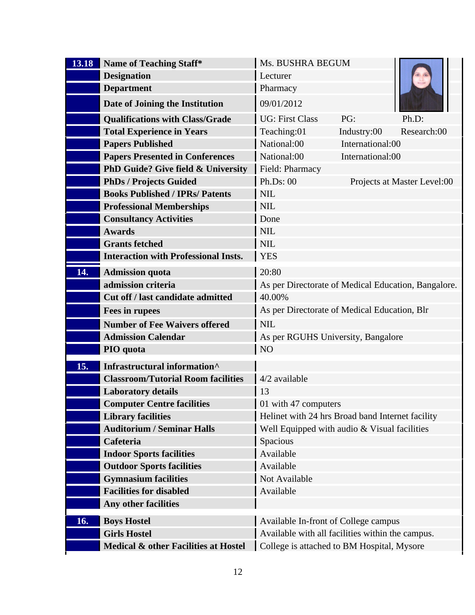| <b>13.18</b> Name of Teaching Staff*                          | Ms. BUSHRA BEGUM                                                                |  |
|---------------------------------------------------------------|---------------------------------------------------------------------------------|--|
| <b>Designation</b>                                            | Lecturer                                                                        |  |
| <b>Department</b>                                             | Pharmacy                                                                        |  |
| Date of Joining the Institution                               | 09/01/2012                                                                      |  |
| <b>Qualifications with Class/Grade</b>                        | UG: First Class<br>PG:<br>Ph.D:                                                 |  |
| Total Experience in Years                                     | Teaching:01<br>Industry:00<br>Research:00                                       |  |
| <b>Papers Published</b>                                       | National:00<br>International:00                                                 |  |
| <b>Papers Presented in Conferences</b>                        | National:00<br>International:00                                                 |  |
| <b>PhD Guide? Give field &amp; University</b> Field: Pharmacy |                                                                                 |  |
| PhDs / Projects Guided                                        | Ph.Ds: 00<br>Projects at Master Level:00                                        |  |
| <b>Books Published / IPRs/ Patents</b>                        | $\vert$ NIL                                                                     |  |
| <b>Professional Memberships</b>                               | $\vert$ NIL                                                                     |  |
| <b>Consultancy Activities</b>                                 | $\vert$ Done<br>$\vert$ NIL                                                     |  |
| <b>Awards</b><br><b>Grants fetched</b>                        | $\vert$ NIL                                                                     |  |
| <b>Interaction with Professional Insts.</b>                   | YES                                                                             |  |
| 14. Admission quota                                           |                                                                                 |  |
| admission criteria                                            | 20:80                                                                           |  |
| Cut off / last candidate admitted                             | As per Directorate of Medical Education, Bangalore.<br>$ 40.00\%$               |  |
|                                                               | As per Directorate of Medical Education, Blr                                    |  |
| Fees in rupees                                                |                                                                                 |  |
| Number of Fee Waivers offered<br><b>Admission Calendar</b>    | $\overline{\phantom{a}}$ NIL                                                    |  |
| PIO quota                                                     | As per RGUHS University, Bangalore<br>$\overline{N}$                            |  |
|                                                               |                                                                                 |  |
| 15. Infrastructural information <sup>^</sup>                  |                                                                                 |  |
| <b>Classroom/Tutorial Room facilities</b> 4/2 available       |                                                                                 |  |
| <b>Laboratory details</b>                                     |                                                                                 |  |
| <b>Computer Centre facilities</b><br>Library facilities       | 01 with 47 computers<br>Helinet with 24 hrs Broad band Internet facility        |  |
| Auditorium / Seminar Halls                                    | Well Equipped with audio & Visual facilities                                    |  |
| Cafeteria                                                     | Spacious                                                                        |  |
| <b>Indoor Sports facilities</b>                               | Available                                                                       |  |
| <b>Outdoor Sports facilities</b>                              | Available                                                                       |  |
| <b>Gymnasium facilities</b>                                   | Not Available                                                                   |  |
| <b>Facilities for disabled</b>                                | Available                                                                       |  |
| Any other facilities                                          |                                                                                 |  |
| 16. Boys Hostel                                               | Available In-front of College campus                                            |  |
| Girls Hostel                                                  | Available with all facilities within the campus.                                |  |
|                                                               | Medical & other Facilities at Hostel College is attached to BM Hospital, Mysore |  |
|                                                               |                                                                                 |  |